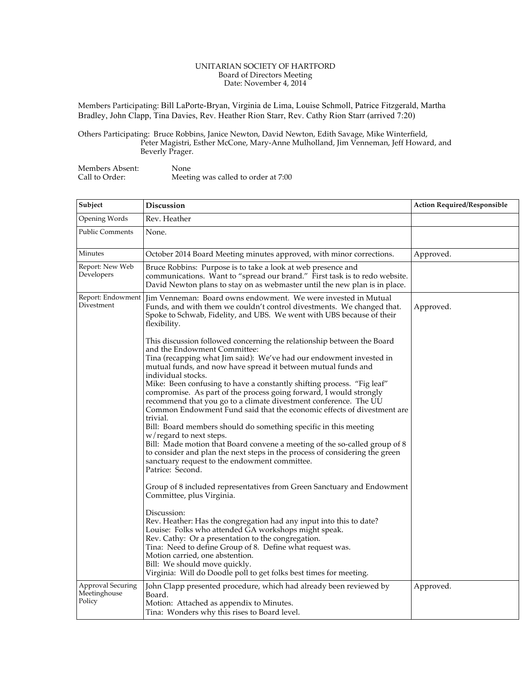## UNITARIAN SOCIETY OF HARTFORD Board of Directors Meeting Date: November 4, 2014

Members Participating: Bill LaPorte-Bryan, Virginia de Lima, Louise Schmoll, Patrice Fitzgerald, Martha Bradley, John Clapp, Tina Davies, Rev. Heather Rion Starr, Rev. Cathy Rion Starr (arrived 7:20)

Others Participating: Bruce Robbins, Janice Newton, David Newton, Edith Savage, Mike Winterfield, Peter Magistri, Esther McCone, Mary-Anne Mulholland, Jim Venneman, Jeff Howard, and Beverly Prager.

| Members Absent: | None                                |
|-----------------|-------------------------------------|
| Call to Order:  | Meeting was called to order at 7:00 |

| Subject                                     | Discussion                                                                                                                                                                                                                                                                                                                                                                                                                                                                                                                                                                                                                                                                                                                                                                                                                                                                                                                                                                                                                                                                                                                                                                                                                                                                                                                                                                                                                                                                                                                                                                          | <b>Action Required/Responsible</b> |
|---------------------------------------------|-------------------------------------------------------------------------------------------------------------------------------------------------------------------------------------------------------------------------------------------------------------------------------------------------------------------------------------------------------------------------------------------------------------------------------------------------------------------------------------------------------------------------------------------------------------------------------------------------------------------------------------------------------------------------------------------------------------------------------------------------------------------------------------------------------------------------------------------------------------------------------------------------------------------------------------------------------------------------------------------------------------------------------------------------------------------------------------------------------------------------------------------------------------------------------------------------------------------------------------------------------------------------------------------------------------------------------------------------------------------------------------------------------------------------------------------------------------------------------------------------------------------------------------------------------------------------------------|------------------------------------|
| Opening Words                               | Rev. Heather                                                                                                                                                                                                                                                                                                                                                                                                                                                                                                                                                                                                                                                                                                                                                                                                                                                                                                                                                                                                                                                                                                                                                                                                                                                                                                                                                                                                                                                                                                                                                                        |                                    |
| <b>Public Comments</b>                      | None.                                                                                                                                                                                                                                                                                                                                                                                                                                                                                                                                                                                                                                                                                                                                                                                                                                                                                                                                                                                                                                                                                                                                                                                                                                                                                                                                                                                                                                                                                                                                                                               |                                    |
| Minutes                                     | October 2014 Board Meeting minutes approved, with minor corrections.                                                                                                                                                                                                                                                                                                                                                                                                                                                                                                                                                                                                                                                                                                                                                                                                                                                                                                                                                                                                                                                                                                                                                                                                                                                                                                                                                                                                                                                                                                                | Approved.                          |
| Report: New Web<br>Developers               | Bruce Robbins: Purpose is to take a look at web presence and<br>communications. Want to "spread our brand." First task is to redo website.<br>David Newton plans to stay on as webmaster until the new plan is in place.                                                                                                                                                                                                                                                                                                                                                                                                                                                                                                                                                                                                                                                                                                                                                                                                                                                                                                                                                                                                                                                                                                                                                                                                                                                                                                                                                            |                                    |
| Divestment                                  | Report: Endowment   Jim Venneman: Board owns endowment. We were invested in Mutual<br>Funds, and with them we couldn't control divestments. We changed that.<br>Spoke to Schwab, Fidelity, and UBS. We went with UBS because of their<br>flexibility.<br>This discussion followed concerning the relationship between the Board<br>and the Endowment Committee:<br>Tina (recapping what Jim said): We've had our endowment invested in<br>mutual funds, and now have spread it between mutual funds and<br>individual stocks.<br>Mike: Been confusing to have a constantly shifting process. "Fig leaf"<br>compromise. As part of the process going forward, I would strongly<br>recommend that you go to a climate divestment conference. The UU<br>Common Endowment Fund said that the economic effects of divestment are<br>trivial.<br>Bill: Board members should do something specific in this meeting<br>w/regard to next steps.<br>Bill: Made motion that Board convene a meeting of the so-called group of 8<br>to consider and plan the next steps in the process of considering the green<br>sanctuary request to the endowment committee.<br>Patrice: Second.<br>Group of 8 included representatives from Green Sanctuary and Endowment<br>Committee, plus Virginia.<br>Discussion:<br>Rev. Heather: Has the congregation had any input into this to date?<br>Louise: Folks who attended GA workshops might speak.<br>Rev. Cathy: Or a presentation to the congregation.<br>Tina: Need to define Group of 8. Define what request was.<br>Motion carried, one abstention. | Approved.                          |
|                                             | Bill: We should move quickly.<br>Virginia: Will do Doodle poll to get folks best times for meeting.                                                                                                                                                                                                                                                                                                                                                                                                                                                                                                                                                                                                                                                                                                                                                                                                                                                                                                                                                                                                                                                                                                                                                                                                                                                                                                                                                                                                                                                                                 |                                    |
| Approval Securing<br>Meetinghouse<br>Policy | John Clapp presented procedure, which had already been reviewed by<br>Board.<br>Motion: Attached as appendix to Minutes.<br>Tina: Wonders why this rises to Board level.                                                                                                                                                                                                                                                                                                                                                                                                                                                                                                                                                                                                                                                                                                                                                                                                                                                                                                                                                                                                                                                                                                                                                                                                                                                                                                                                                                                                            | Approved.                          |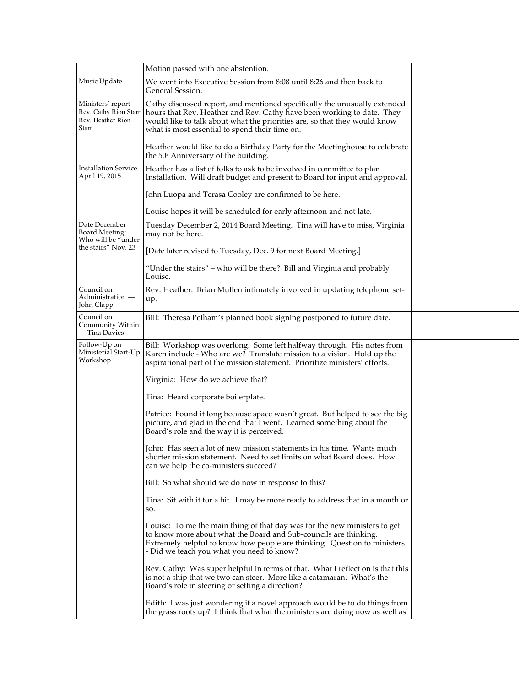|                                                                          | Motion passed with one abstention.                                                                                                                                                                                                                                                 |  |
|--------------------------------------------------------------------------|------------------------------------------------------------------------------------------------------------------------------------------------------------------------------------------------------------------------------------------------------------------------------------|--|
| Music Update                                                             | We went into Executive Session from 8:08 until 8:26 and then back to<br>General Session.                                                                                                                                                                                           |  |
| Ministers' report<br>Rev. Cathy Rion Starr<br>Rev. Heather Rion<br>Starr | Cathy discussed report, and mentioned specifically the unusually extended<br>hours that Rev. Heather and Rev. Cathy have been working to date. They<br>would like to talk about what the priorities are, so that they would know<br>what is most essential to spend their time on. |  |
|                                                                          | Heather would like to do a Birthday Party for the Meetinghouse to celebrate<br>the 50 <sup>th</sup> Anniversary of the building.                                                                                                                                                   |  |
| <b>Installation Service</b><br>April 19, 2015                            | Heather has a list of folks to ask to be involved in committee to plan<br>Installation. Will draft budget and present to Board for input and approval.                                                                                                                             |  |
|                                                                          | John Luopa and Terasa Cooley are confirmed to be here.                                                                                                                                                                                                                             |  |
|                                                                          | Louise hopes it will be scheduled for early afternoon and not late.                                                                                                                                                                                                                |  |
| Date December<br>Board Meeting;<br>Who will be "under                    | Tuesday December 2, 2014 Board Meeting. Tina will have to miss, Virginia<br>may not be here.                                                                                                                                                                                       |  |
| the stairs" Nov. 23                                                      | [Date later revised to Tuesday, Dec. 9 for next Board Meeting.]                                                                                                                                                                                                                    |  |
|                                                                          | "Under the stairs" - who will be there? Bill and Virginia and probably<br>Louise.                                                                                                                                                                                                  |  |
| Council on<br>Administration-<br>John Clapp                              | Rev. Heather: Brian Mullen intimately involved in updating telephone set-<br>up.                                                                                                                                                                                                   |  |
| Council on<br>Community Within<br>— Tina Davies                          | Bill: Theresa Pelham's planned book signing postponed to future date.                                                                                                                                                                                                              |  |
| Follow-Up on<br>Ministerial Start-Up<br>Workshop                         | Bill: Workshop was overlong. Some left halfway through. His notes from<br>Karen include - Who are we? Translate mission to a vision. Hold up the<br>aspirational part of the mission statement. Prioritize ministers' efforts.                                                     |  |
|                                                                          | Virginia: How do we achieve that?                                                                                                                                                                                                                                                  |  |
|                                                                          | Tina: Heard corporate boilerplate.                                                                                                                                                                                                                                                 |  |
|                                                                          | Patrice: Found it long because space wasn't great. But helped to see the big<br>picture, and glad in the end that I went. Learned something about the<br>Board's role and the way it is perceived.                                                                                 |  |
|                                                                          | John: Has seen a lot of new mission statements in his time. Wants much<br>shorter mission statement. Need to set limits on what Board does. How<br>can we help the co-ministers succeed?                                                                                           |  |
|                                                                          | Bill: So what should we do now in response to this?                                                                                                                                                                                                                                |  |
|                                                                          | Tina: Sit with it for a bit. I may be more ready to address that in a month or<br>SO.                                                                                                                                                                                              |  |
|                                                                          | Louise: To me the main thing of that day was for the new ministers to get<br>to know more about what the Board and Sub-councils are thinking.<br>Extremely helpful to know how people are thinking. Question to ministers<br>- Did we teach you what you need to know?             |  |
|                                                                          | Rev. Cathy: Was super helpful in terms of that. What I reflect on is that this<br>is not a ship that we two can steer. More like a catamaran. What's the<br>Board's role in steering or setting a direction?                                                                       |  |
|                                                                          | Edith: I was just wondering if a novel approach would be to do things from<br>the grass roots up? I think that what the ministers are doing now as well as                                                                                                                         |  |